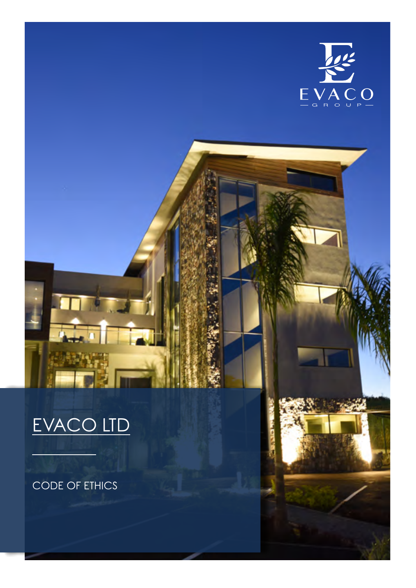

# EVACO LTD

CODE OF ETHICS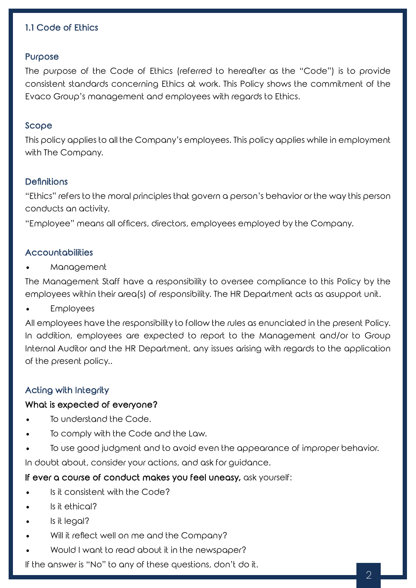# 1.1 Code of Ethics

#### Purpose

The purpose of the Code of Ethics (referred to hereafter as the "Code") is to provide consistent standards concerning Ethics at work. This Policy shows the commitment of the Evaco Group's management and employees with regards to Ethics.

#### Scope

This policy applies to all the Company's employees. This policy applies while in employment with The Company.

## **Definitions**

"Ethics" refers to the moral principles that govern a person's behavior or the way this person conducts an activity.

"Employee" means all officers, directors, employees employed by the Company.

#### Accountabilities

**Management** 

The Management Staff have a responsibility to oversee compliance to this Policy by the employees within their area(s) of responsibility. The HR Department acts as asupport unit.

**Employees** 

All employees have the responsibility to follow the rules as enunciated in the present Policy. In addition, employees are expected to report to the Management and/or to Group Internal Auditor and the HR Department, any issues arising with regards to the application of the present policy..

#### Acting with Integrity

#### What is expected of everyone?

- To understand the Code.
- To comply with the Code and the Law.
- To use good judgment and to avoid even the appearance of improper behavior.

In doubt about, consider your actions, and ask for guidance.

## If ever a course of conduct makes you feel uneasy, ask yourself:

- Is it consistent with the Code?
- Is it ethical?
- Is it legal?
- Will it reflect well on me and the Company?
- Would I want to read about it in the newspaper?

If the answer is "No" to any of these questions, don't do it.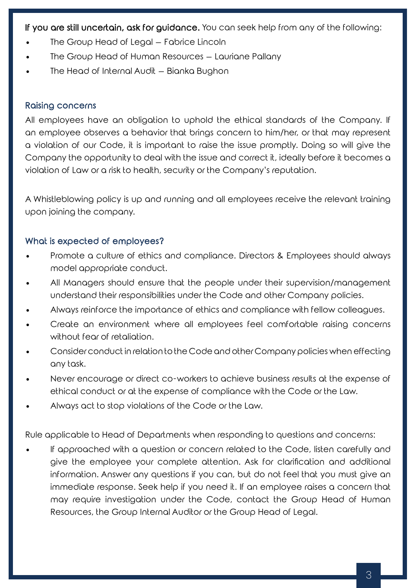If you are still uncertain, ask for guidance. You can seek help from any of the following:

- The Group Head of Legal Fabrice Lincoln
- The Group Head of Human Resources Lauriane Pallany
- The Head of Internal Audit Bianka Bughon

# Raising concerns

All employees have an obligation to uphold the ethical standards of the Company. If an employee observes a behavior that brings concern to him/her, or that may represent a violation of our Code, it is important to raise the issue promptly. Doing so will give the Company the opportunity to deal with the issue and correct it, ideally before it becomes a violation of Law or a risk to health, security or the Company's reputation.

A Whistleblowing policy is up and running and all employees receive the relevant training upon joining the company.

# What is expected of employees?

- Promote a culture of ethics and compliance. Directors & Employees should always model appropriate conduct.
- All Managers should ensure that the people under their supervision/management understand their responsibilities under the Code and other Company policies.
- Always reinforce the importance of ethics and compliance with fellow colleagues.
- Create an environment where all employees feel comfortable raising concerns without fear of retaliation.
- Consider conduct in relation to the Code and other Company policies when effecting any task.
- Never encourage or direct co-workers to achieve business results at the expense of ethical conduct or at the expense of compliance with the Code or the Law.
- Always act to stop violations of the Code or the Law.

Rule applicable to Head of Departments when responding to questions and concerns:

If approached with a question or concern related to the Code, listen carefully and give the employee your complete attention. Ask for clarification and additional information. Answer any questions if you can, but do not feel that you must give an immediate response. Seek help if you need it. If an employee raises a concern that may require investigation under the Code, contact the Group Head of Human Resources, the Group Internal Auditor or the Group Head of Legal.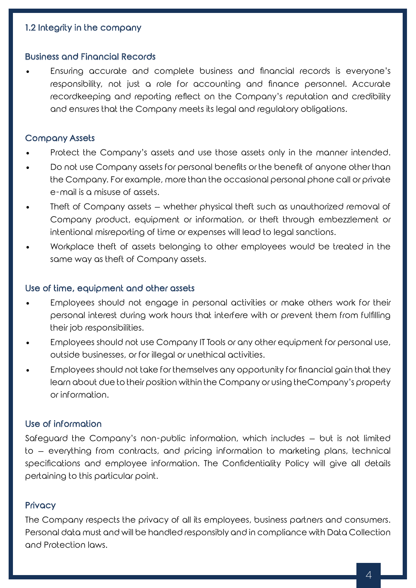# 1.2 Integrity in the company

## Business and Financial Records

Ensuring accurate and complete business and financial records is everyone's responsibility, not just a role for accounting and finance personnel. Accurate recordkeeping and reporting reflect on the Company's reputation and credibility and ensures that the Company meets its legal and regulatory obligations.

## Company Assets

- Protect the Company's assets and use those assets only in the manner intended.
- Do not use Company assets for personal benefits or the benefit of anyone other than the Company. For example, more than the occasional personal phone call or private e-mail is a misuse of assets.
- Theft of Company assets whether physical theft such as unauthorized removal of Company product, equipment or information, or theft through embezzlement or intentional misreporting of time or expenses will lead to legal sanctions.
- Workplace theft of assets belonging to other employees would be treated in the same way as theft of Company assets.

#### Use of time, equipment and other assets

- Employees should not engage in personal activities or make others work for their personal interest during work hours that interfere with or prevent them from fulfilling their job responsibilities.
- Employees should not use Company IT Tools or any other equipment for personal use, outside businesses, or for illegal or unethical activities.
- Employees should not take for themselves any opportunity for financial gain that they learn about due to their position within the Company or using theCompany's property or information.

## Use of information

Safeguard the Company's non-public information, which includes – but is not limited to – everything from contracts, and pricing information to marketing plans, technical specifications and employee information. The Confidentiality Policy will give all details pertaining to this particular point.

## **Privacy**

The Company respects the privacy of all its employees, business partners and consumers. Personal data must and will be handled responsibly and in compliance with Data Collection and Protection laws.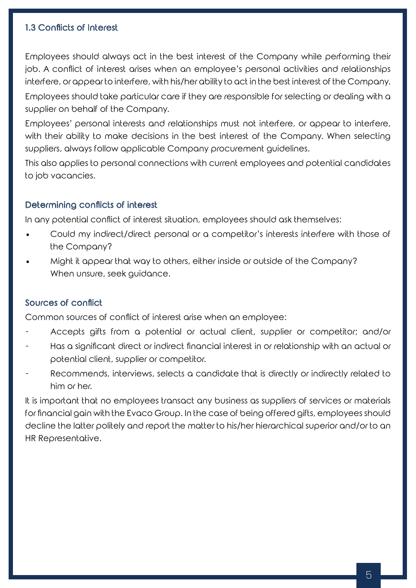# 1.3 Conflicts of Interest

Employees should always act in the best interest of the Company while performing their job. A conflict of interest arises when an employee's personal activities and relationships interfere, or appear to interfere, with his/her ability to act in the best interest of the Company.

Employees should take particular care if they are responsible for selecting or dealing with a supplier on behalf of the Company.

Employees' personal interests and relationships must not interfere, or appear to interfere, with their ability to make decisions in the best interest of the Company. When selecting suppliers, always follow applicable Company procurement guidelines.

This also applies to personal connections with current employees and potential candidates to job vacancies.

# Determining conflicts of interest

In any potential conflict of interest situation, employees should ask themselves:

- Could my indirect/direct personal or a competitor's interests interfere with those of the Company?
- Might it appear that way to others, either inside or outside of the Company? When unsure, seek guidance.

# Sources of conflict

Common sources of conflict of interest arise when an employee:

- Accepts gifts from a potential or actual client, supplier or competitor; and/or
- Has a significant direct or indirect financial interest in or relationship with an actual or potential client, supplier or competitor.
- Recommends, interviews, selects a candidate that is directly or indirectly related to him or her.

It is important that no employees transact any business as suppliers of services or materials for financial gain with the Evaco Group. In the case of being offered gifts, employees should decline the latter politely and report the matter to his/her hierarchical superior and/or to an HR Representative.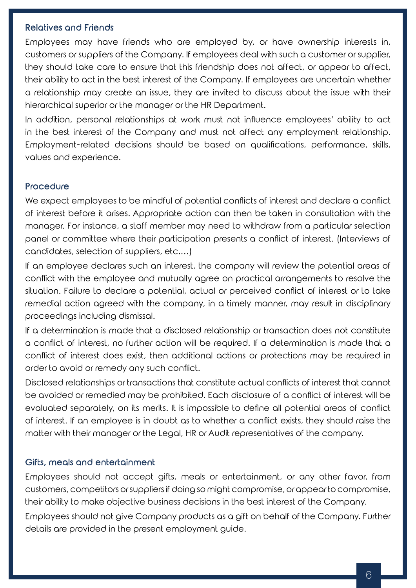## Relatives and Friends

Employees may have friends who are employed by, or have ownership interests in, customers or suppliers of the Company. If employees deal with such a customer or supplier, they should take care to ensure that this friendship does not affect, or appear to affect, their ability to act in the best interest of the Company. If employees are uncertain whether a relationship may create an issue, they are invited to discuss about the issue with their hierarchical superior or the manager or the HR Department.

In addition, personal relationships at work must not influence employees' ability to act in the best interest of the Company and must not affect any employment relationship. Employment-related decisions should be based on qualifications, performance, skills, values and experience.

## **Procedure**

We expect employees to be mindful of potential conflicts of interest and declare a conflict of interest before it arises. Appropriate action can then be taken in consultation with the manager. For instance, a staff member may need to withdraw from a particular selection panel or committee where their participation presents a conflict of interest. (Interviews of candidates, selection of suppliers, etc.…)

If an employee declares such an interest, the company will review the potential areas of conflict with the employee and mutually agree on practical arrangements to resolve the situation. Failure to declare a potential, actual or perceived conflict of interest or to take remedial action agreed with the company, in a timely manner, may result in disciplinary proceedings including dismissal.

If a determination is made that a disclosed relationship or transaction does not constitute a conflict of interest, no further action will be required. If a determination is made that a conflict of interest does exist, then additional actions or protections may be required in order to avoid or remedy any such conflict.

Disclosed relationships or transactions that constitute actual conflicts of interest that cannot be avoided or remedied may be prohibited. Each disclosure of a conflict of interest will be evaluated separately, on its merits. It is impossible to define all potential areas of conflict of interest. If an employee is in doubt as to whether a conflict exists, they should raise the matter with their manager or the Legal, HR or Audit representatives of the company.

## Gifts, meals and entertainment

Employees should not accept gifts, meals or entertainment, or any other favor, from customers, competitors orsuppliersif doing so might compromise, orappearto compromise, their ability to make objective business decisions in the best interest of the Company.

Employees should not give Company products as a gift on behalf of the Company. Further details are provided in the present employment guide.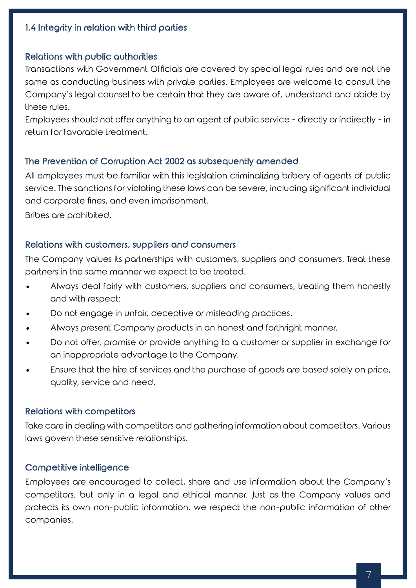# 1.4 Integrity in relation with third parties

## Relations with public authorities

Transactions with Government Officials are covered by special legal rules and are not the same as conducting business with private parties. Employees are welcome to consult the Company's legal counsel to be certain that they are aware of, understand and abide by these rules.

Employees should not offer anything to an agent of public service - directly or indirectly - in return for favorable treatment.

## The Prevention of Corruption Act 2002 as subsequently amended

All employees must be familiar with this legislation criminalizing bribery of agents of public service. The sanctions for violating these laws can be severe, including significant individual and corporate fines, and even imprisonment.

Bribes are prohibited.

#### Relations with customers, suppliers and consumers

The Company values its partnerships with customers, suppliers and consumers. Treat these partners in the same manner we expect to be treated.

- Always deal fairly with customers, suppliers and consumers, treating them honestly and with respect:
- Do not engage in unfair, deceptive or misleading practices.
- Always present Company products in an honest and forthright manner.
- Do not offer, promise or provide anything to a customer or supplier in exchange for an inappropriate advantage to the Company.
- Ensure that the hire of services and the purchase of goods are based solely on price, quality, service and need.

#### Relations with competitors

Take care in dealing with competitors and gathering information about competitors. Various laws govern these sensitive relationships.

## Competitive intelligence

Employees are encouraged to collect, share and use information about the Company's competitors, but only in a legal and ethical manner. Just as the Company values and protects its own non-public information, we respect the non-public information of other companies.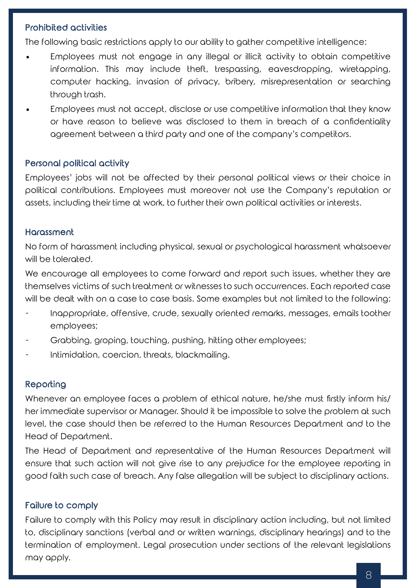# Prohibited activities

The following basic restrictions apply to our ability to gather competitive intelligence:

- Employees must not engage in any illegal or illicit activity to obtain competitive information. This may include theft, trespassing, eavesdropping, wiretapping, computer hacking, invasion of privacy, bribery, misrepresentation or searching through trash.
- Employees must not accept, disclose or use competitive information that they know or have reason to believe was disclosed to them in breach of a confidentiality agreement between a third party and one of the company's competitors.

## Personal political activity

Employees' jobs will not be affected by their personal political views or their choice in political contributions. Employees must moreover not use the Company's reputation or assets, including their time at work, to further their own political activities or interests.

## **Harassment**

No form of harassment including physical, sexual or psychological harassment whatsoever will be tolerated.

We encourage all employees to come forward and report such issues, whether they are themselves victims of such treatment or witnesses to such occurrences. Each reported case will be dealt with on a case to case basis. Some examples but not limited to the following:

- Inappropriate, offensive, crude, sexually oriented remarks, messages, emails toother employees;
- Grabbing, groping, touching, pushing, hitting other employees;
- Intimidation, coercion, threats, blackmailing.

# Reporting

Whenever an employee faces a problem of ethical nature, he/she must firstly inform his/ her immediate supervisor or Manager. Should it be impossible to solve the problem at such level, the case should then be referred to the Human Resources Department and to the Head of Department.

The Head of Department and representative of the Human Resources Department will ensure that such action will not give rise to any prejudice for the employee reporting in good faith such case of breach. Any false allegation will be subject to disciplinary actions.

# Failure to comply

Failure to comply with this Policy may result in disciplinary action including, but not limited to, disciplinary sanctions (verbal and or written warnings, disciplinary hearings) and to the termination of employment. Legal prosecution under sections of the relevant legislations may apply.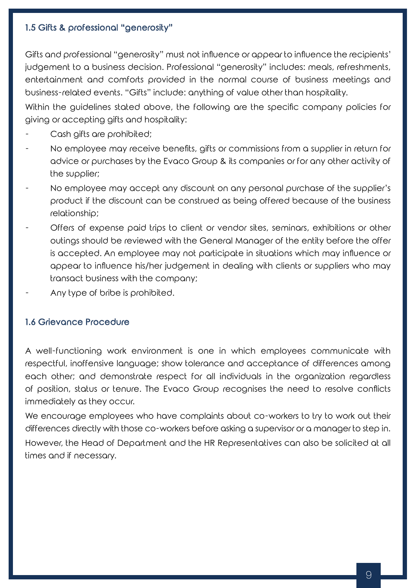# 1.5 Gifts & professional "generosity"

Gifts and professional "generosity" must not influence or appear to influence the recipients' judgement to a business decision. Professional "generosity" includes: meals, refreshments, entertainment and comforts provided in the normal course of business meetings and business-related events. "Gifts" include: anything of value other than hospitality.

Within the guidelines stated above, the following are the specific company policies for giving or accepting gifts and hospitality:

- Cash gifts are prohibited;
- No employee may receive benefits, gifts or commissions from a supplier in return for advice or purchases by the Evaco Group & its companies or for any other activity of the supplier;
- No employee may accept any discount on any personal purchase of the supplier's product if the discount can be construed as being offered because of the business relationship;
- Offers of expense paid trips to client or vendor sites, seminars, exhibitions or other outings should be reviewed with the General Manager of the entity before the offer is accepted. An employee may not participate in situations which may influence or appear to influence his/her judgement in dealing with clients or suppliers who may transact business with the company;
- Any type of bribe is prohibited.

# 1.6 Grievance Procedure

A well-functioning work environment is one in which employees communicate with respectful, inoffensive language; show tolerance and acceptance of differences among each other; and demonstrate respect for all individuals in the organization regardless of position, status or tenure. The Evaco Group recognises the need to resolve conflicts immediately as they occur.

We encourage employees who have complaints about co-workers to try to work out their differences directly with those co-workers before asking a supervisor or a manager to step in. However, the Head of Department and the HR Representatives can also be solicited at all times and if necessary.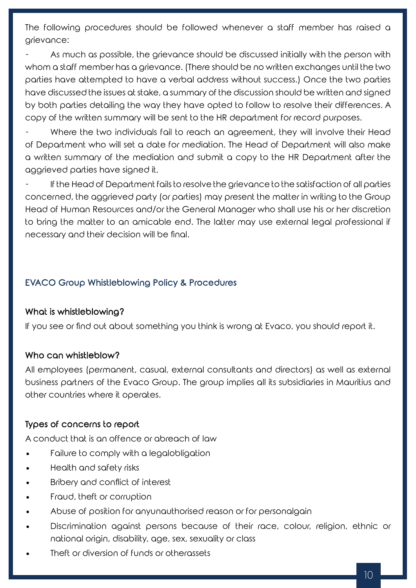The following procedures should be followed whenever a staff member has raised a grievance:

As much as possible, the grievance should be discussed initially with the person with whom a staff member has a grievance. (There should be no written exchanges until the two parties have attempted to have a verbal address without success.) Once the two parties have discussed the issues at stake, a summary of the discussion should be written and signed by both parties detailing the way they have opted to follow to resolve their differences. A copy of the written summary will be sent to the HR department for record purposes.

Where the two individuals fail to reach an agreement, they will involve their Head of Department who will set a date for mediation. The Head of Department will also make a written summary of the mediation and submit a copy to the HR Department after the aggrieved parties have signed it.

If the Head of Department fails to resolve the grievance to the satisfaction of all parties concerned, the aggrieved party (or parties) may present the matter in writing to the Group Head of Human Resources and/or the General Manager who shall use his or her discretion to bring the matter to an amicable end. The latter may use external legal professional if necessary and their decision will be final.

# EVACO Group Whistleblowing Policy & Procedures

## What is whistleblowing?

If you see or find out about something you think is wrong at Evaco, you should report it.

## Who can whistleblow?

All employees (permanent, casual, external consultants and directors) as well as external business partners of the Evaco Group. The group implies all its subsidiaries in Mauritius and other countries where it operates.

## Types of concerns to report

A conduct that is an offence or abreach of law

- Failure to comply with a legalobligation
- Health and safety risks
- Bribery and conflict of interest
- Fraud, theft or corruption
- Abuse of position for anyunauthorised reason or for personalgain
- Discrimination against persons because of their race, colour, religion, ethnic or national origin, disability, age, sex, sexuality or class
- Theft or diversion of funds or otherassets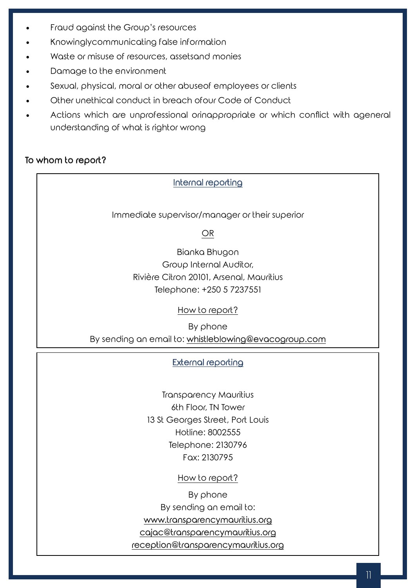- Fraud against the Group's resources
- Knowinglycommunicating false information
- Waste or misuse of resources, assetsand monies
- Damage to the environment
- Sexual, physical, moral or other abuseof employees or clients
- Other unethical conduct in breach ofour Code of Conduct
- Actions which are unprofessional orinappropriate or which conflict with ageneral understanding of what is rightor wrong

# To whom to report?

# Internal reporting

Immediate supervisor/manager or their superior

OR

Bianka Bhugon Group Internal Auditor, Rivière Citron 20101, Arsenal, Mauritius Telephone: +250 5 7237551

# How to report?

By phone

By sending an email to: whistleblowing@evacogroup.com

# External reporting

Transparency Mauritius 6th Floor, TN Tower 13 St Georges Street, Port Louis Hotline: 8002555 Telephone: 2130796 Fax: 2130795

How to report?

By phone

By sending an email to:

www.transparencymauritius.org

cajac@transparencymauritius.org

reception@transparencymauritius.org